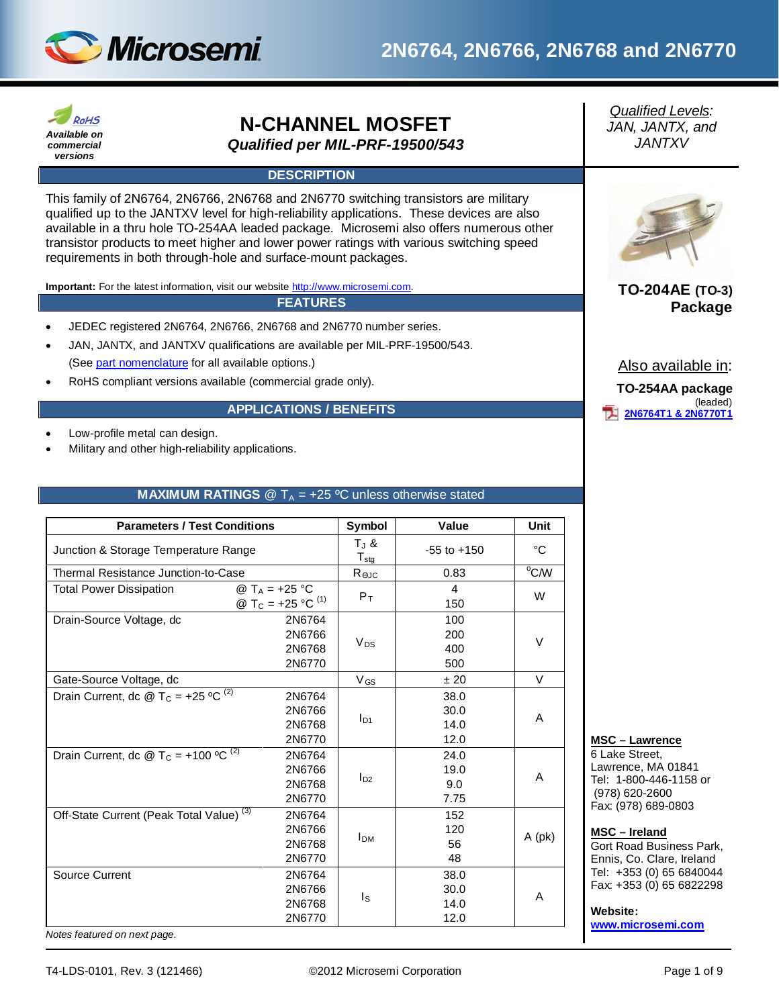

## **2N6764, 2N6766, 2N6768 and 2N6770**



# **N-CHANNEL MOSFET**

*Qualified per MIL-PRF-19500/543*

### **DESCRIPTION**

This family of 2N6764, 2N6766, 2N6768 and 2N6770 switching transistors are military qualified up to the JANTXV level for high-reliability applications. These devices are also available in a thru hole TO-254AA leaded package. Microsemi also offers numerous other transistor products to meet higher and lower power ratings with various switching speed requirements in both through-hole and surface-mount packages.

**Important:** For the latest information, visit our website [http://www.microsemi.com.](http://www.microsemi.com/)

**FEATURES**

- JEDEC registered 2N6764, 2N6766, 2N6768 and 2N6770 number series.
- JAN, JANTX, and JANTXV qualifications are available per MIL-PRF-19500/543. (Se[e part nomenclature](#page-1-0) for all available options.)
- RoHS compliant versions available (commercial grade only).

#### **APPLICATIONS / BENEFITS**

- Low-profile metal can design.
- Military and other high-reliability applications.

#### **MAXIMUM RATINGS**  $\textcircled{2}$  T<sub>A</sub> = +25 °C unless otherwise stated

| <b>Parameters / Test Conditions</b>                         |                                                                       | Symbol                                    | Value                          | Unit           |
|-------------------------------------------------------------|-----------------------------------------------------------------------|-------------------------------------------|--------------------------------|----------------|
| Junction & Storage Temperature Range                        |                                                                       | $T_{J}$ &<br>${\mathsf T}_{\textsf{stg}}$ | $-55$ to $+150$                | °C             |
| Thermal Resistance Junction-to-Case                         |                                                                       | Rejc                                      | 0.83                           | $^{\circ}$ C/W |
| <b>Total Power Dissipation</b>                              | @ T <sub>A</sub> = +25 °C<br>@ T <sub>C</sub> = +25 °C <sup>(1)</sup> | $P_T$                                     | $\overline{\mathbf{4}}$<br>150 | W              |
| Drain-Source Voltage, dc                                    | 2N6764<br>2N6766<br>2N6768<br>2N6770                                  | $V_{DS}$                                  | 100<br>200<br>400<br>500       | V              |
| Gate-Source Voltage, dc                                     |                                                                       | $V_{GS}$                                  | ±20                            | V              |
| Drain Current, dc @ T <sub>C</sub> = +25 °C <sup>(2)</sup>  | 2N6764<br>2N6766<br>2N6768<br>2N6770                                  | $I_{D1}$                                  | 38.0<br>30.0<br>14.0<br>12.0   | A              |
| Drain Current, dc @ T <sub>C</sub> = +100 °C <sup>(2)</sup> | 2N6764<br>2N6766<br>2N6768<br>2N6770                                  | $I_{D2}$                                  | 24.0<br>19.0<br>9.0<br>7.75    | A              |
| Off-State Current (Peak Total Value) <sup>(3)</sup>         | 2N6764<br>2N6766<br>2N6768<br>2N6770                                  | <b>I</b> <sub>DM</sub>                    | 152<br>120<br>56<br>48         | $A$ (pk)       |
| Source Current                                              | 2N6764<br>2N6766<br>2N6768<br>2N6770                                  | ls                                        | 38.0<br>30.0<br>14.0<br>12.0   | A              |

*Qualified Levels: JAN, JANTX, and JANTXV*



### **TO-204AE (TO-3) Package**

Also available in:

```
TO-254AA package
              (leaded)
2N6764T1 & 2N6770T1
```
### **MSC – Lawrence**

6 Lake Street, Lawrence, MA 01841 Tel: 1-800-446-1158 or (978) 620-2600 Fax: (978) 689-0803

#### **MSC – Ireland**

Gort Road Business Park, Ennis, Co. Clare, Ireland Tel: +353 (0) 65 6840044 Fax: +353 (0) 65 6822298

**Website:** 

**[www.microsemi.com](http://www.microsemi.com/)**

*Notes featured on next page.*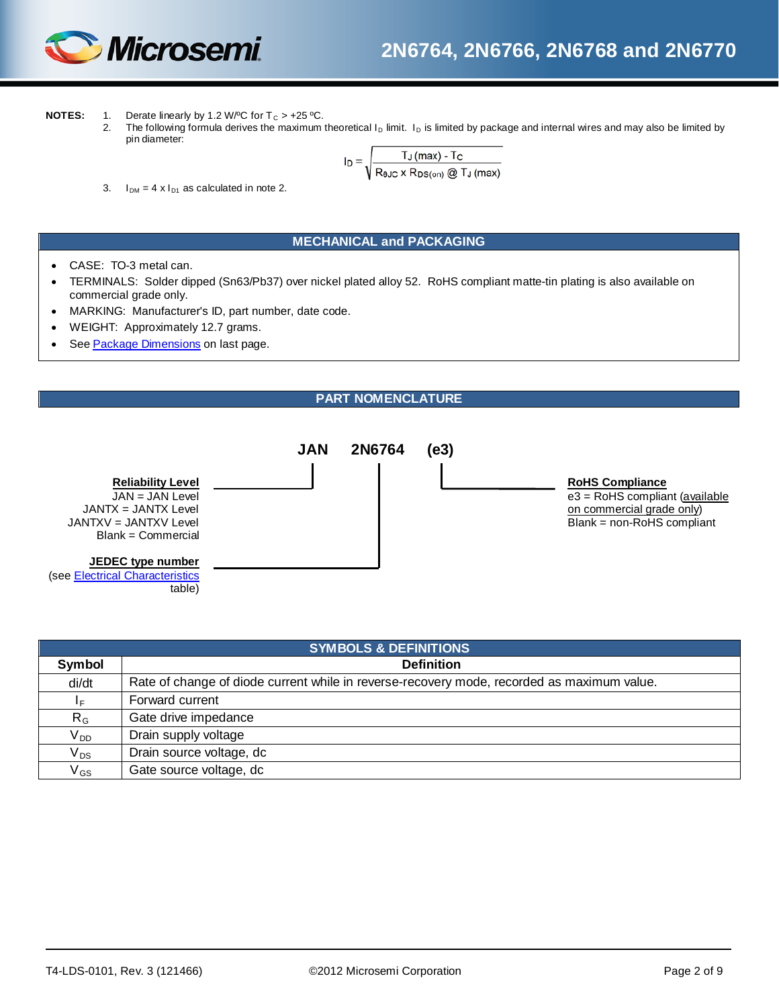

- **NOTES:** 1. Derate linearly by 1.2 W/°C for  $T_c > +25$ °C.<br>2. The following formula derives the maximum
	- The following formula derives the maximum theoretical  $I_D$  limit.  $I_D$  is limited by package and internal wires and may also be limited by pin diameter:

$$
I_D = \sqrt{\frac{T_J \, (max) - T_C}{R_{BJC} \times R_{DS(on)} \, \textcircled{a} T_J \, (max)}}
$$

3.  $I_{DM} = 4 \times I_{D1}$  as calculated in note 2.

#### **MECHANICAL and PACKAGING**

- CASE: TO-3 metal can.
- TERMINALS: Solder dipped (Sn63/Pb37) over nickel plated alloy 52. RoHS compliant matte-tin plating is also available on commercial grade only.
- MARKING: Manufacturer's ID, part number, date code.
- WEIGHT: Approximately 12.7 grams.
- See [Package Dimensions](#page-8-0) on last page.

#### **PART NOMENCLATURE**

<span id="page-1-0"></span>

| <b>SYMBOLS &amp; DEFINITIONS</b> |                                                                                            |  |  |  |  |
|----------------------------------|--------------------------------------------------------------------------------------------|--|--|--|--|
| Symbol                           | <b>Definition</b>                                                                          |  |  |  |  |
| di/dt                            | Rate of change of diode current while in reverse-recovery mode, recorded as maximum value. |  |  |  |  |
| ΙF.                              | Forward current                                                                            |  |  |  |  |
| $R_G$                            | Gate drive impedance                                                                       |  |  |  |  |
| $V_{DD}$                         | Drain supply voltage                                                                       |  |  |  |  |
| $V_{DS}$                         | Drain source voltage, dc                                                                   |  |  |  |  |
| $\mathsf{V}_{\mathsf{GS}}$       | Gate source voltage, dc                                                                    |  |  |  |  |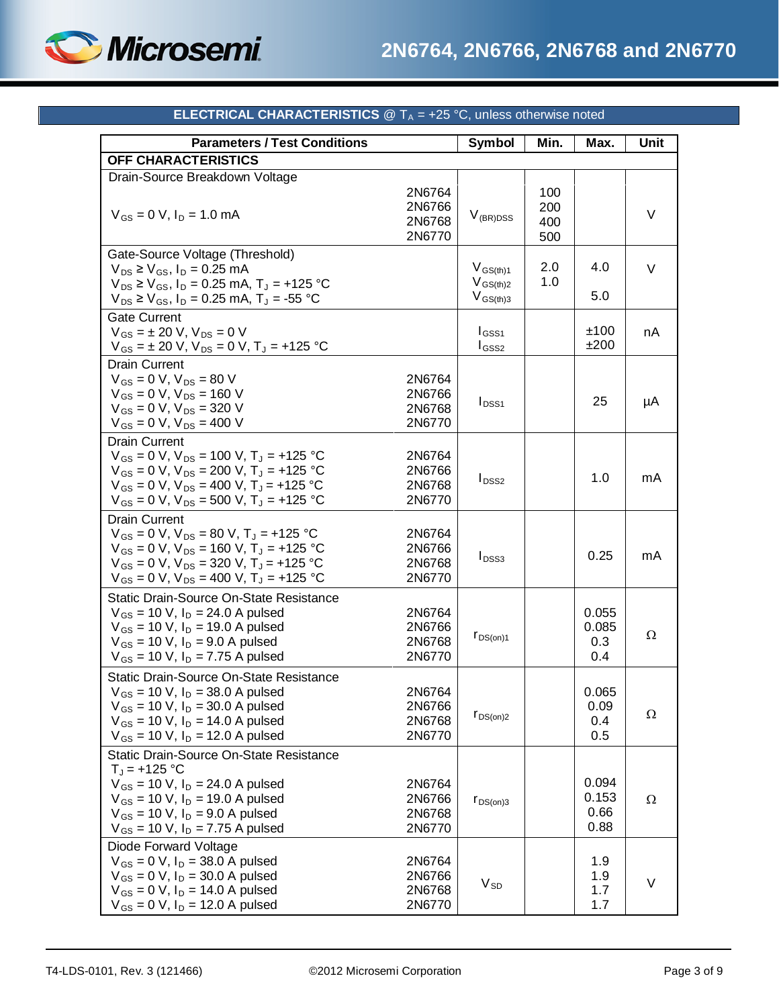

<span id="page-2-0"></span>

| <b>Parameters / Test Conditions</b>                                                                                                                                                                                                              |                                      | <b>Symbol</b>                                   | Min.                     | Max.                           | Unit     |
|--------------------------------------------------------------------------------------------------------------------------------------------------------------------------------------------------------------------------------------------------|--------------------------------------|-------------------------------------------------|--------------------------|--------------------------------|----------|
| OFF CHARACTERISTICS                                                                                                                                                                                                                              |                                      |                                                 |                          |                                |          |
| Drain-Source Breakdown Voltage<br>$V_{GS} = 0$ V, $I_D = 1.0$ mA                                                                                                                                                                                 | 2N6764<br>2N6766<br>2N6768<br>2N6770 | $V_{(BR)DSS}$                                   | 100<br>200<br>400<br>500 |                                | $\vee$   |
| Gate-Source Voltage (Threshold)<br>$V_{DS} \ge V_{GS}$ , $I_D = 0.25$ mA<br>$V_{DS} \ge V_{GS}$ , $I_D = 0.25$ mA, $T_J = +125$ °C<br>$V_{DS} \ge V_{GS}$ , $I_D = 0.25$ mA, $T_J = -55$ °C                                                      |                                      | $V_{GS(th)1}$<br>$V_{GS(th)2}$<br>$V_{GS(th)3}$ | 2.0<br>1.0               | 4.0<br>5.0                     | V        |
| <b>Gate Current</b><br>$V_{GS} = \pm 20$ V, $V_{DS} = 0$ V<br>$V_{GS} = \pm 20$ V, $V_{DS} = 0$ V, $T_J = +125$ °C                                                                                                                               |                                      | $I_{GSS1}$<br>$I_{GSS2}$                        |                          | ±100<br>±200                   | nA       |
| <b>Drain Current</b><br>$V_{GS} = 0 V$ , $V_{DS} = 80 V$<br>$V_{GS} = 0 V$ , $V_{DS} = 160 V$<br>$V_{GS} = 0 V$ , $V_{DS} = 320 V$<br>$V_{GS} = 0 V$ , $V_{DS} = 400 V$                                                                          | 2N6764<br>2N6766<br>2N6768<br>2N6770 | $I_{DSS1}$                                      |                          | 25                             | μA       |
| <b>Drain Current</b><br>$V_{GS} = 0 V$ , $V_{DS} = 100 V$ , $T_J = +125 °C$<br>$V_{GS} = 0 V$ , $V_{DS} = 200 V$ , $T_J = +125 °C$<br>$V_{GS} = 0 V$ , $V_{DS} = 400 V$ , $T_J = +125 °C$<br>$V_{GS} = 0 V$ , $V_{DS} = 500 V$ , $T_J = +125 °C$ | 2N6764<br>2N6766<br>2N6768<br>2N6770 | $I_{DSS2}$                                      |                          | 1.0                            | mA       |
| <b>Drain Current</b><br>$V_{GS} = 0$ V, $V_{DS} = 80$ V, $T_J = +125$ °C<br>$V_{GS} = 0 V$ , $V_{DS} = 160 V$ , $T_J = +125 °C$<br>$V_{GS} = 0 V$ , $V_{DS} = 320 V$ , $T_J = +125 °C$<br>$V_{GS} = 0 V$ , $V_{DS} = 400 V$ , $T_J = +125 °C$    | 2N6764<br>2N6766<br>2N6768<br>2N6770 | $I_{DSS3}$                                      |                          | 0.25                           | mA       |
| <b>Static Drain-Source On-State Resistance</b><br>$V_{GS}$ = 10 V, $I_D$ = 24.0 A pulsed<br>$V_{GS}$ = 10 V, $I_D$ = 19.0 A pulsed<br>$V_{GS}$ = 10 V, $I_D$ = 9.0 A pulsed<br>$V_{GS}$ = 10 V, $I_D$ = 7.75 A pulsed                            | 2N6764<br>2N6766<br>2N6768<br>2N6770 | $r_{DS(on)1}$                                   |                          | 0.055<br>0.085<br>0.3<br>0.4   | Ω        |
| Static Drain-Source On-State Resistance<br>$V_{GS}$ = 10 V, $I_D$ = 38.0 A pulsed<br>$V_{GS}$ = 10 V, $I_D$ = 30.0 A pulsed<br>$V_{GS}$ = 10 V, $I_D$ = 14.0 A pulsed<br>$V_{GS}$ = 10 V, $I_D$ = 12.0 A pulsed                                  | 2N6764<br>2N6766<br>2N6768<br>2N6770 | $r_{DS(on)2}$                                   |                          | 0.065<br>0.09<br>0.4<br>0.5    | $\Omega$ |
| Static Drain-Source On-State Resistance<br>$T_{J}$ = +125 °C<br>$V_{GS}$ = 10 V, $I_D$ = 24.0 A pulsed<br>$V_{GS}$ = 10 V, $I_D$ = 19.0 A pulsed<br>$V_{GS}$ = 10 V, $I_D$ = 9.0 A pulsed<br>$V_{GS}$ = 10 V, $I_D$ = 7.75 A pulsed              | 2N6764<br>2N6766<br>2N6768<br>2N6770 | $r_{DS(on)3}$                                   |                          | 0.094<br>0.153<br>0.66<br>0.88 | Ω        |
| Diode Forward Voltage<br>$V_{GS} = 0 V$ , $I_D = 38.0 A pulsed$<br>$V_{GS} = 0 V$ , $I_D = 30.0 A pulsed$<br>$V_{GS} = 0 V$ , $I_D = 14.0 A pulsed$<br>$V_{GS} = 0 V$ , $I_D = 12.0 A pulsed$                                                    | 2N6764<br>2N6766<br>2N6768<br>2N6770 | $\rm V_{SD}$                                    |                          | 1.9<br>1.9<br>1.7<br>1.7       | V        |

### **ELECTRICAL CHARACTERISTICS** @ T<sub>A</sub> = +25 °C, unless otherwise noted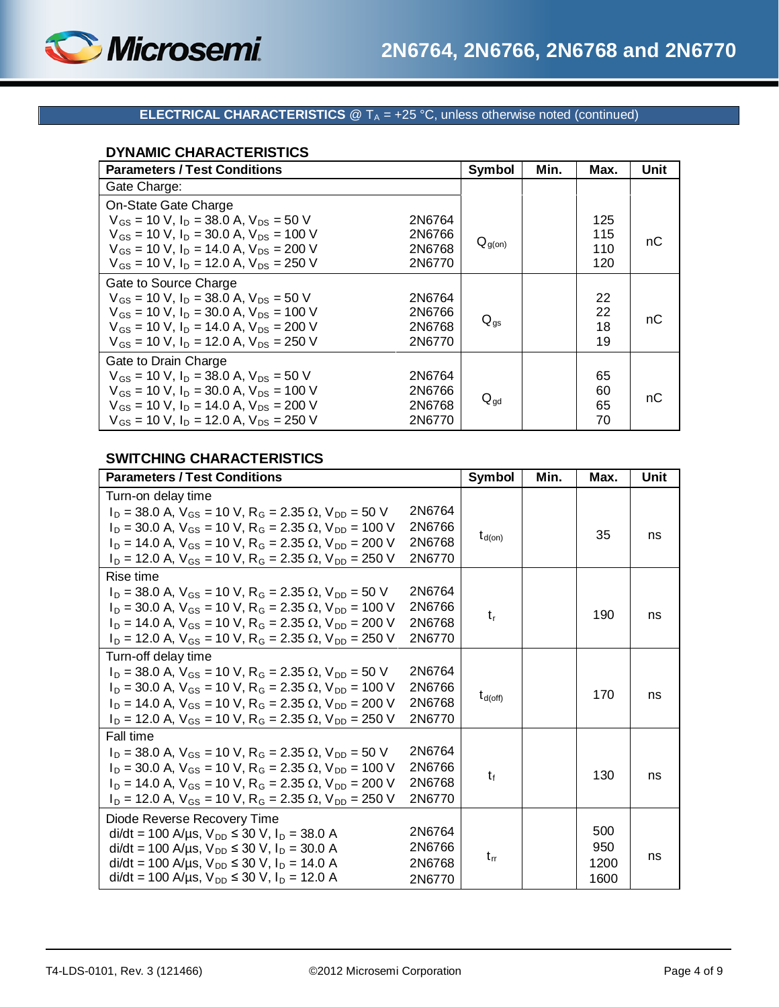

### **ELECTRICAL CHARACTERISTICS** @ T<sub>A</sub> = +25 °C, unless otherwise noted (continued)

### **DYNAMIC CHARACTERISTICS**

| <b>Parameters / Test Conditions</b>                                                                                                                                                                                                                                                  | Symbol          | Min. | Max.                     | Unit |
|--------------------------------------------------------------------------------------------------------------------------------------------------------------------------------------------------------------------------------------------------------------------------------------|-----------------|------|--------------------------|------|
| Gate Charge:                                                                                                                                                                                                                                                                         |                 |      |                          |      |
| On-State Gate Charge<br>$V_{GS}$ = 10 V, $I_D$ = 38.0 A, $V_{DS}$ = 50 V<br>2N6764<br>$V_{GS}$ = 10 V, $I_D$ = 30.0 A, $V_{DS}$ = 100 V<br>2N6766<br>$V_{GS}$ = 10 V, $I_D$ = 14.0 A, $V_{DS}$ = 200 V<br>2N6768<br>$V_{GS}$ = 10 V, $I_D$ = 12.0 A, $V_{DS}$ = 250 V<br>2N6770      | $Q_{g(0n)}$     |      | 125<br>115<br>110<br>120 | nС   |
| Gate to Source Charge<br>$V_{gs}$ = 10 V, $I_{D}$ = 38.0 A, $V_{DS}$ = 50 V<br>2N6764<br>$V_{GS}$ = 10 V, $I_D$ = 30.0 A, $V_{DS}$ = 100 V<br>2N6766<br>$V_{gs}$ = 10 V, $I_{p}$ = 14.0 A, $V_{ps}$ = 200 V<br>2N6768<br>$V_{GS}$ = 10 V, $I_D$ = 12.0 A, $V_{DS}$ = 250 V<br>2N6770 | $Q_{qs}$        |      | 22<br>22<br>18<br>19     | nС   |
| Gate to Drain Charge<br>$V_{GS}$ = 10 V, $I_D$ = 38.0 A, $V_{DS}$ = 50 V<br>2N6764<br>$V_{GS}$ = 10 V, $I_D$ = 30.0 A, $V_{DS}$ = 100 V<br>2N6766<br>$V_{GS}$ = 10 V, $I_D$ = 14.0 A, $V_{DS}$ = 200 V<br>2N6768<br>$V_{GS}$ = 10 V, $I_D$ = 12.0 A, $V_{DS}$ = 250 V<br>2N6770      | $Q_{\text{qd}}$ |      | 65<br>60<br>65<br>70     | nС   |

### **SWITCHING CHARACTERISTICS**

| <b>Parameters / Test Conditions</b>                                                       |        | <b>Symbol</b> | Min. | Max. | Unit |
|-------------------------------------------------------------------------------------------|--------|---------------|------|------|------|
| Turn-on delay time                                                                        |        |               |      |      |      |
| $I_D = 38.0$ A, $V_{GS} = 10$ V, R <sub>G</sub> = 2.35 $\Omega$ , V <sub>DD</sub> = 50 V  | 2N6764 |               |      |      |      |
| $I_D = 30.0$ A, $V_{GS} = 10$ V, R <sub>G</sub> = 2.35 $\Omega$ , V <sub>DD</sub> = 100 V | 2N6766 |               |      | 35   | ns   |
| $I_D = 14.0$ A, $V_{GS} = 10$ V, R <sub>G</sub> = 2.35 $\Omega$ , V <sub>DD</sub> = 200 V | 2N6768 | $t_{d(on)}$   |      |      |      |
| $I_D$ = 12.0 A, $V_{GS}$ = 10 V, R <sub>G</sub> = 2.35 $\Omega$ , V <sub>DD</sub> = 250 V | 2N6770 |               |      |      |      |
| Rise time                                                                                 |        |               |      |      |      |
| $I_D = 38.0$ A, $V_{GS} = 10$ V, $R_G = 2.35$ $\Omega$ , $V_{DD} = 50$ V                  | 2N6764 |               |      |      |      |
| $I_D = 30.0$ A, $V_{GS} = 10$ V, R <sub>G</sub> = 2.35 $\Omega$ , V <sub>DD</sub> = 100 V | 2N6766 | $t_{r}$       |      | 190  | ns   |
| $I_D = 14.0$ A, $V_{GS} = 10$ V, R <sub>G</sub> = 2.35 $\Omega$ , V <sub>DD</sub> = 200 V | 2N6768 |               |      |      |      |
| $I_D$ = 12.0 A, $V_{GS}$ = 10 V, R <sub>G</sub> = 2.35 $\Omega$ , V <sub>DD</sub> = 250 V | 2N6770 |               |      |      |      |
| Turn-off delay time                                                                       |        |               |      |      |      |
| $I_D = 38.0$ A, $V_{GS} = 10$ V, R <sub>G</sub> = 2.35 $\Omega$ , V <sub>DD</sub> = 50 V  | 2N6764 |               |      |      |      |
| $I_D = 30.0$ A, $V_{GS} = 10$ V, R <sub>G</sub> = 2.35 $\Omega$ , V <sub>DD</sub> = 100 V | 2N6766 |               |      | 170  | ns   |
| $I_D = 14.0$ A, $V_{GS} = 10$ V, R <sub>G</sub> = 2.35 $\Omega$ , V <sub>DD</sub> = 200 V | 2N6768 | $t_{d(off)}$  |      |      |      |
| $I_D$ = 12.0 A, $V_{GS}$ = 10 V, R <sub>G</sub> = 2.35 $\Omega$ , V <sub>DD</sub> = 250 V | 2N6770 |               |      |      |      |
| Fall time                                                                                 |        |               |      |      |      |
| $I_D = 38.0$ A, $V_{GS} = 10$ V, $R_G = 2.35$ $\Omega$ , $V_{DD} = 50$ V                  | 2N6764 |               |      |      |      |
| $I_D = 30.0$ A, $V_{GS} = 10$ V, R <sub>G</sub> = 2.35 $\Omega$ , V <sub>DD</sub> = 100 V | 2N6766 | t             |      | 130  | ns   |
| $I_D = 14.0$ A, $V_{GS} = 10$ V, R <sub>G</sub> = 2.35 $\Omega$ , V <sub>DD</sub> = 200 V | 2N6768 |               |      |      |      |
| $I_D$ = 12.0 A, $V_{GS}$ = 10 V, R <sub>G</sub> = 2.35 $\Omega$ , V <sub>DD</sub> = 250 V | 2N6770 |               |      |      |      |
| Diode Reverse Recovery Time                                                               |        |               |      |      |      |
| $di/dt = 100$ A/µs, $V_{DD} \le 30$ V, $I_D = 38.0$ A                                     | 2N6764 |               |      | 500  |      |
| $di/dt = 100$ A/µs, $V_{DD} \le 30$ V, $I_D = 30.0$ A                                     | 2N6766 | $t_{rr}$      |      | 950  | ns   |
| $di/dt = 100$ A/µs, $V_{DD} \le 30$ V, $I_D = 14.0$ A                                     | 2N6768 |               |      | 1200 |      |
| di/dt = 100 A/µs, $V_{DD} \le 30$ V, $I_D = 12.0$ A                                       | 2N6770 |               |      | 1600 |      |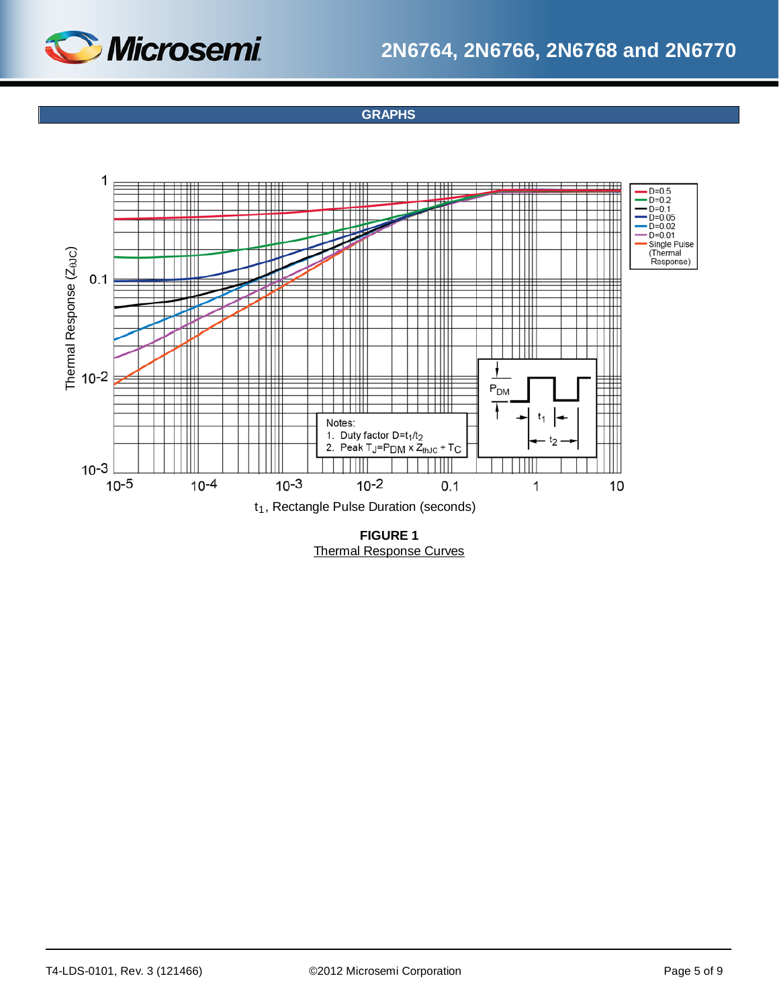

### **GRAPHS**



Thermal Response Curves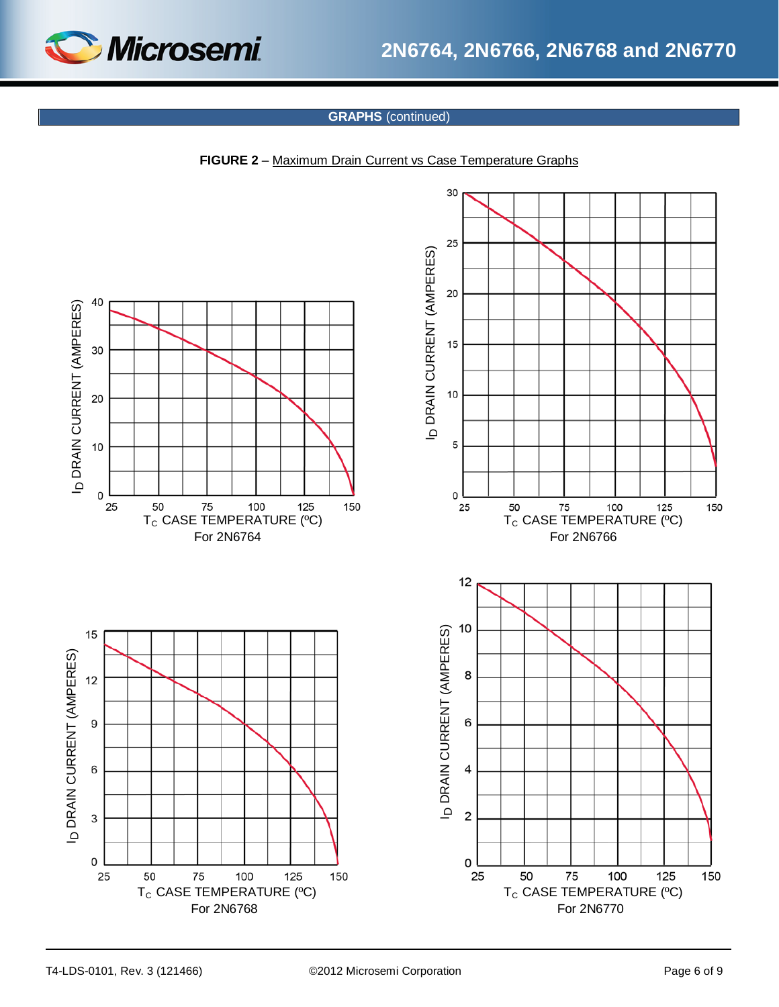

### **GRAPHS** (continued)

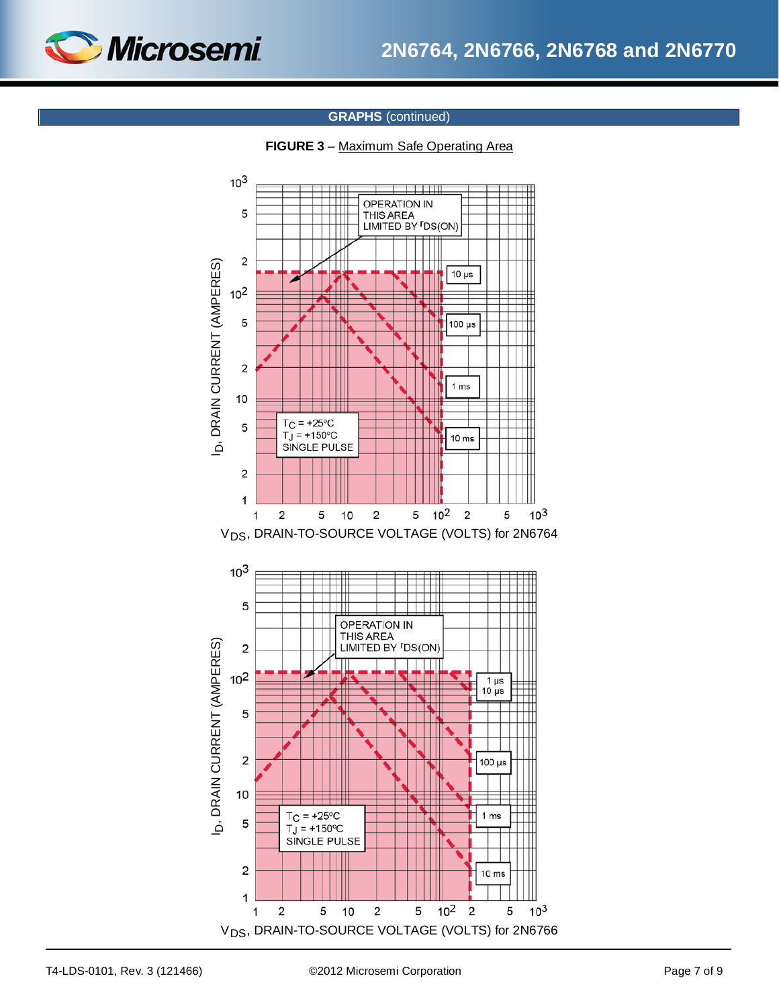

### **GRAPHS** (continued)



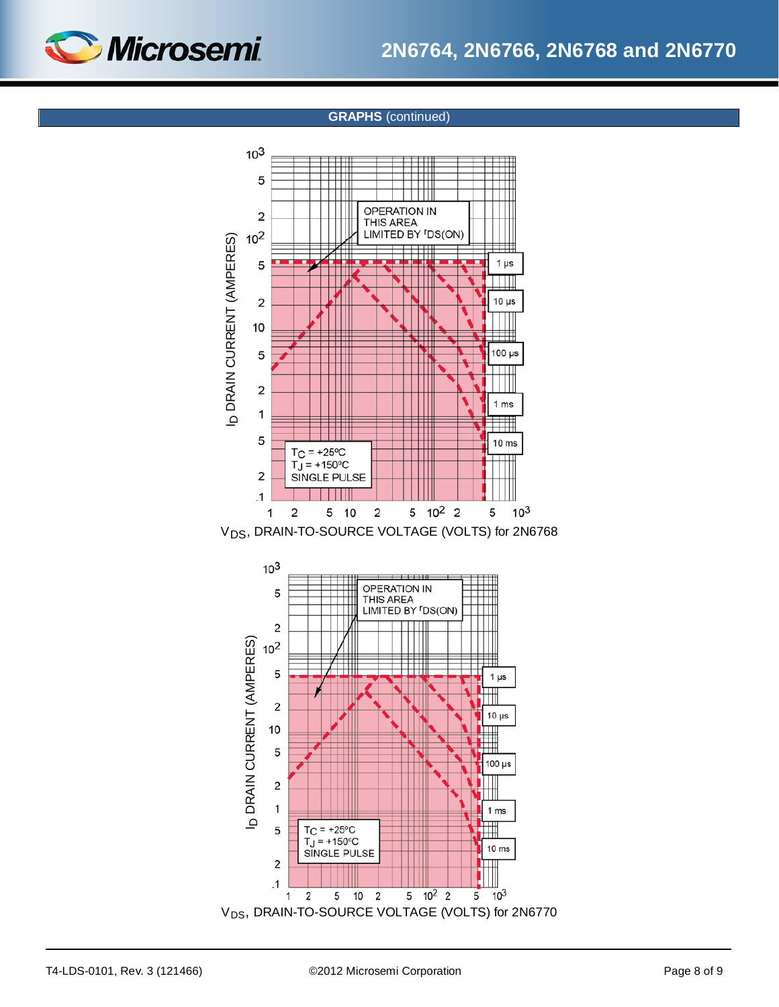

### **GRAPHS** (continued)



V<sub>DS</sub>, DRAIN-TO-SOURCE VOLTAGE (VOLTS) for 2N6768



T4-LDS-0101, Rev. 3 (121466) ©2012 Microsemi Corporation Page 8 of 9